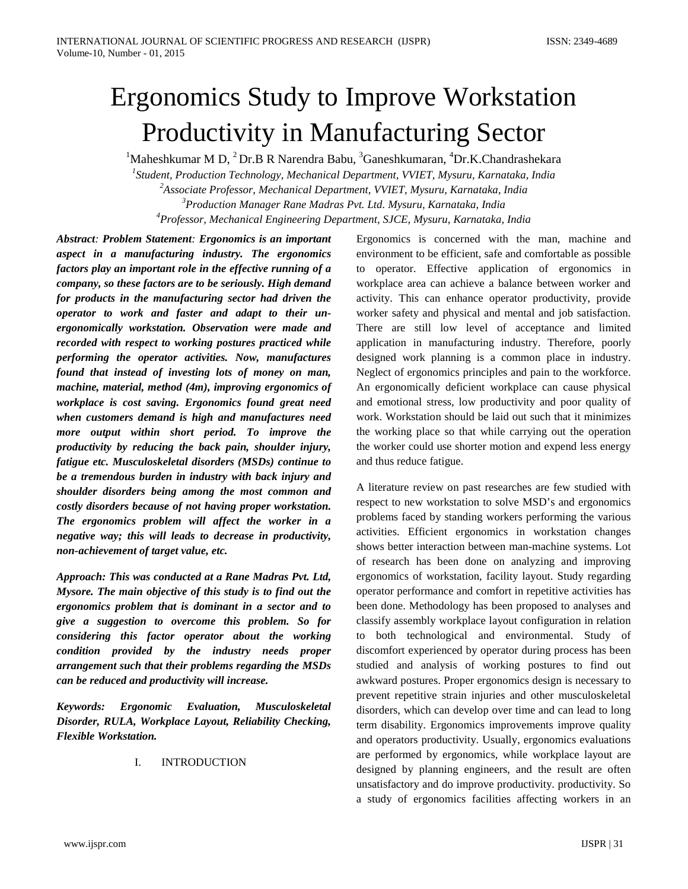# Ergonomics Study to Improve Workstation Productivity in Manufacturing Sector

<sup>1</sup>Maheshkumar M D,  $^{2}$  Dr.B R Narendra Babu,  $^{3}$ Ganeshkumaran,  $^{4}$ Dr.K.Chandrashekara

 *Student, Production Technology, Mechanical Department, VVIET, Mysuru, Karnataka, India Associate Professor, Mechanical Department, VVIET, Mysuru, Karnataka, India Production Manager Rane Madras Pvt. Ltd. Mysuru, Karnataka, India Professor, Mechanical Engineering Department, SJCE, Mysuru, Karnataka, India*

*Abstract: Problem Statement: Ergonomics is an important aspect in a manufacturing industry. The ergonomics factors play an important role in the effective running of a company, so these factors are to be seriously. High demand for products in the manufacturing sector had driven the operator to work and faster and adapt to their unergonomically workstation. Observation were made and recorded with respect to working postures practiced while performing the operator activities. Now, manufactures found that instead of investing lots of money on man, machine, material, method (4m), improving ergonomics of workplace is cost saving. Ergonomics found great need when customers demand is high and manufactures need more output within short period. To improve the productivity by reducing the back pain, shoulder injury, fatigue etc. Musculoskeletal disorders (MSDs) continue to be a tremendous burden in industry with back injury and shoulder disorders being among the most common and costly disorders because of not having proper workstation. The ergonomics problem will affect the worker in a negative way; this will leads to decrease in productivity, non-achievement of target value, etc.* 

*Approach: This was conducted at a Rane Madras Pvt. Ltd, Mysore. The main objective of this study is to find out the ergonomics problem that is dominant in a sector and to give a suggestion to overcome this problem. So for considering this factor operator about the working condition provided by the industry needs proper arrangement such that their problems regarding the MSDs can be reduced and productivity will increase.*

*Keywords: Ergonomic Evaluation, Musculoskeletal Disorder, RULA, Workplace Layout, Reliability Checking, Flexible Workstation.*

# I. INTRODUCTION

Ergonomics is concerned with the man, machine and environment to be efficient, safe and comfortable as possible to operator. Effective application of ergonomics in workplace area can achieve a balance between worker and activity. This can enhance operator productivity, provide worker safety and physical and mental and job satisfaction. There are still low level of acceptance and limited application in manufacturing industry. Therefore, poorly designed work planning is a common place in industry. Neglect of ergonomics principles and pain to the workforce. An ergonomically deficient workplace can cause physical and emotional stress, low productivity and poor quality of work. Workstation should be laid out such that it minimizes the working place so that while carrying out the operation the worker could use shorter motion and expend less energy and thus reduce fatigue.

A literature review on past researches are few studied with respect to new workstation to solve MSD's and ergonomics problems faced by standing workers performing the various activities. Efficient ergonomics in workstation changes shows better interaction between man-machine systems. Lot of research has been done on analyzing and improving ergonomics of workstation, facility layout. Study regarding operator performance and comfort in repetitive activities has been done. Methodology has been proposed to analyses and classify assembly workplace layout configuration in relation to both technological and environmental. Study of discomfort experienced by operator during process has been studied and analysis of working postures to find out awkward postures. Proper ergonomics design is necessary to prevent repetitive strain injuries and other musculoskeletal disorders, which can develop over time and can lead to long term disability. Ergonomics improvements improve quality and operators productivity. Usually, ergonomics evaluations are performed by ergonomics, while workplace layout are designed by planning engineers, and the result are often unsatisfactory and do improve productivity. productivity. So a study of ergonomics facilities affecting workers in an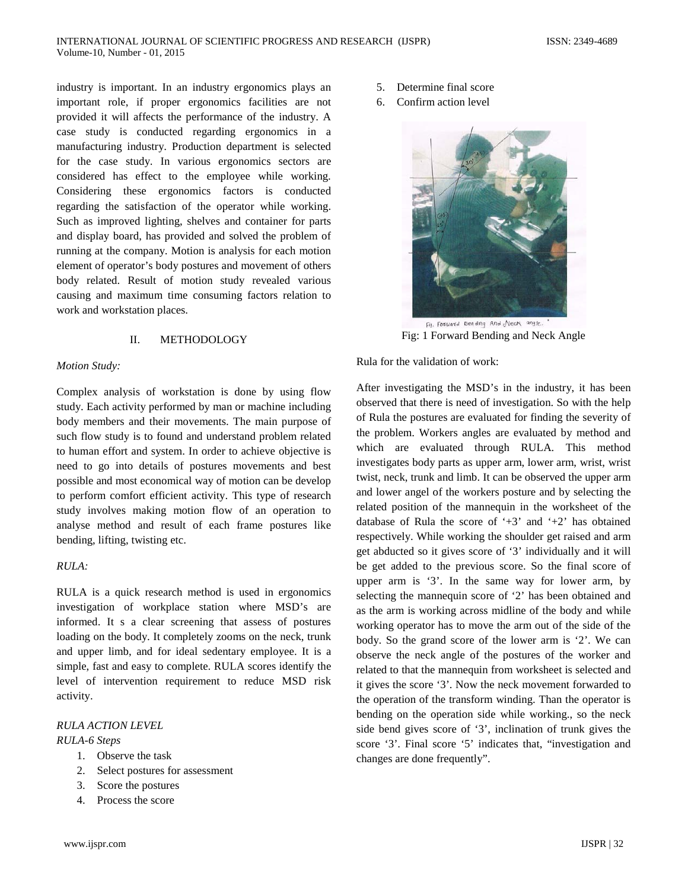industry is important. In an industry ergonomics plays an important role, if proper ergonomics facilities are not provided it will affects the performance of the industry. A case study is conducted regarding ergonomics in a manufacturing industry. Production department is selected for the case study. In various ergonomics sectors are considered has effect to the employee while working. Considering these ergonomics factors is conducted regarding the satisfaction of the operator while working. Such as improved lighting, shelves and container for parts and display board, has provided and solved the problem of running at the company. Motion is analysis for each motion element of operator's body postures and movement of others body related. Result of motion study revealed various causing and maximum time consuming factors relation to work and workstation places.

## II. METHODOLOGY

#### *Motion Study:*

Complex analysis of workstation is done by using flow study. Each activity performed by man or machine including body members and their movements. The main purpose of such flow study is to found and understand problem related to human effort and system. In order to achieve objective is need to go into details of postures movements and best possible and most economical way of motion can be develop to perform comfort efficient activity. This type of research study involves making motion flow of an operation to analyse method and result of each frame postures like bending, lifting, twisting etc.

#### *RULA:*

RULA is a quick research method is used in ergonomics investigation of workplace station where MSD's are informed. It s a clear screening that assess of postures loading on the body. It completely zooms on the neck, trunk and upper limb, and for ideal sedentary employee. It is a simple, fast and easy to complete. RULA scores identify the level of intervention requirement to reduce MSD risk activity.

# *RULA ACTION LEVEL*

- *RULA-6 Steps*
	- 1. Observe the task
	- 2. Select postures for assessment
	- 3. Score the postures
	- 4. Process the score
- 5. Determine final score
- 6. Confirm action level



Fig. Forward Bending And Neck angle. Fig: 1 Forward Bending and Neck Angle

Rula for the validation of work:

After investigating the MSD's in the industry, it has been observed that there is need of investigation. So with the help of Rula the postures are evaluated for finding the severity of the problem. Workers angles are evaluated by method and which are evaluated through RULA. This method investigates body parts as upper arm, lower arm, wrist, wrist twist, neck, trunk and limb. It can be observed the upper arm and lower angel of the workers posture and by selecting the related position of the mannequin in the worksheet of the database of Rula the score of  $+3$  and  $+2$  has obtained respectively. While working the shoulder get raised and arm get abducted so it gives score of '3' individually and it will be get added to the previous score. So the final score of upper arm is '3'. In the same way for lower arm, by selecting the mannequin score of '2' has been obtained and as the arm is working across midline of the body and while working operator has to move the arm out of the side of the body. So the grand score of the lower arm is '2'. We can observe the neck angle of the postures of the worker and related to that the mannequin from worksheet is selected and it gives the score '3'. Now the neck movement forwarded to the operation of the transform winding. Than the operator is bending on the operation side while working., so the neck side bend gives score of '3', inclination of trunk gives the score '3'. Final score '5' indicates that, "investigation and changes are done frequently".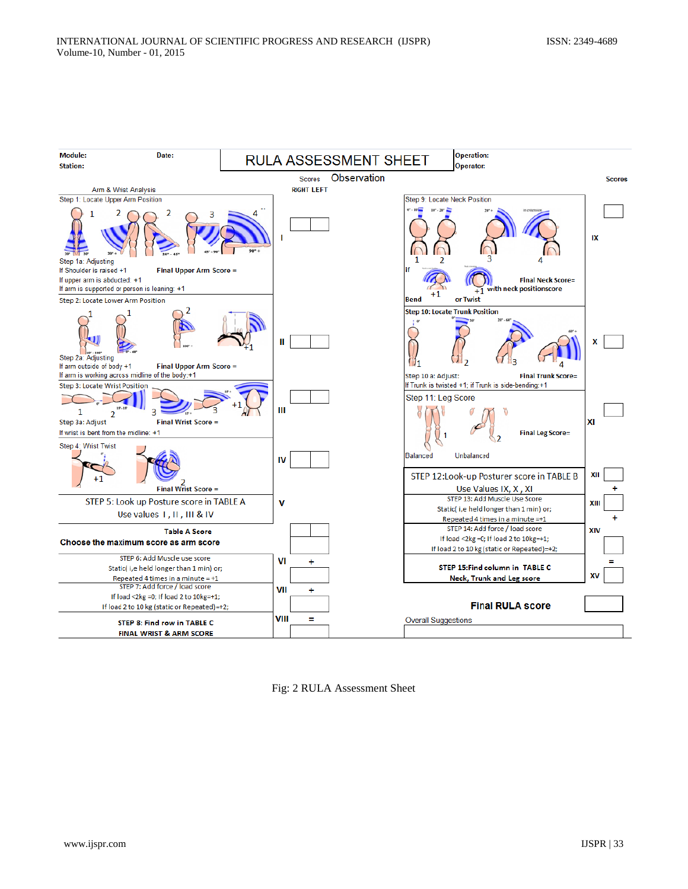

Fig: 2 RULA Assessment Sheet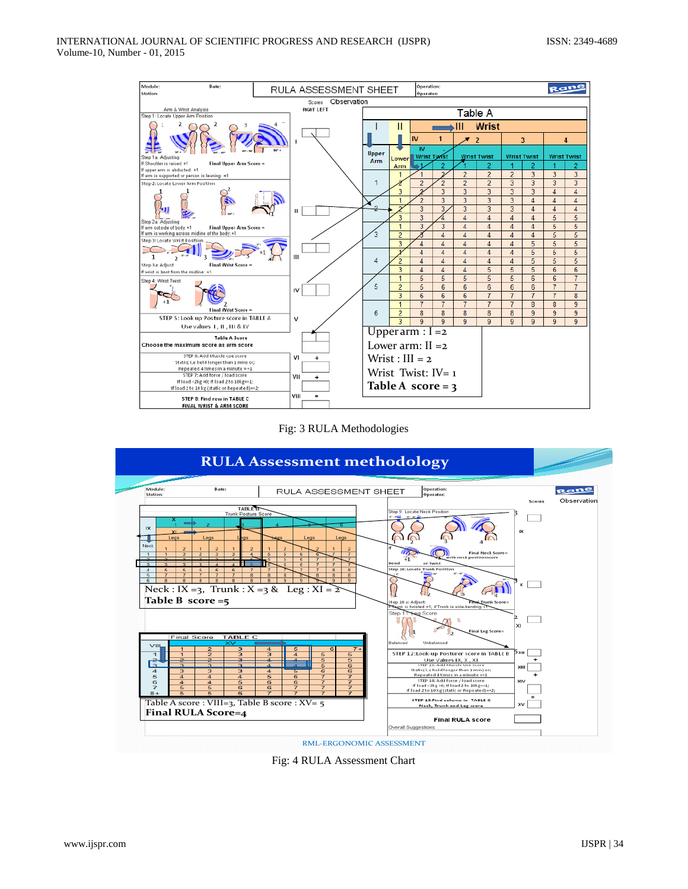





Fig: 4 RULA Assessment Chart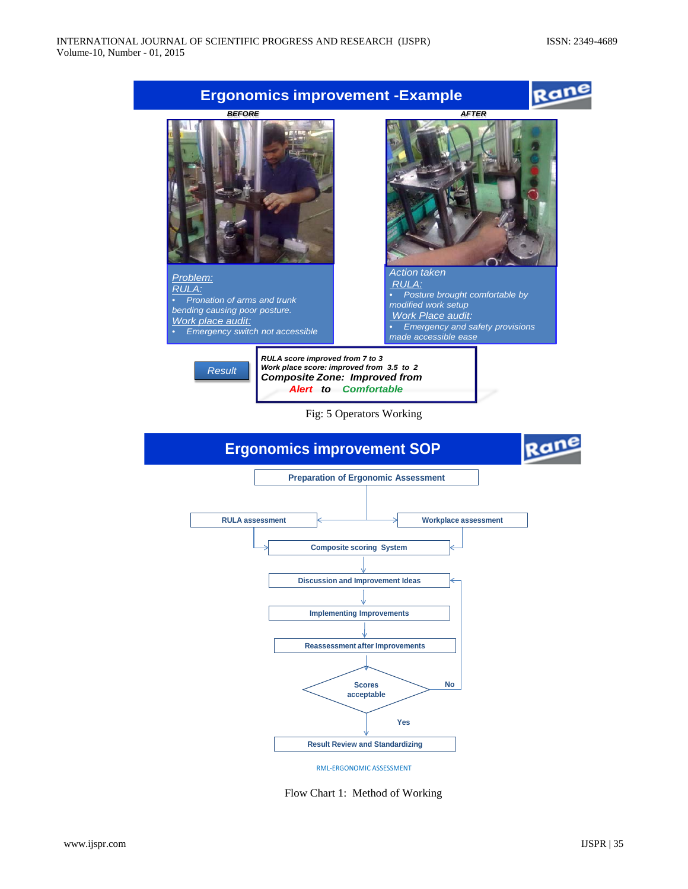

RML-ERGONOMIC ASSESSMENT

**Result Review and Standardizing**

Flow Chart 1: Method of Working